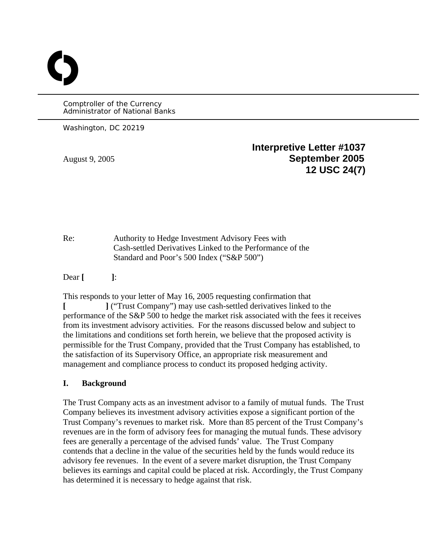Comptroller of the Currency Administrator of National Banks

Washington, DC 20219

O

**Interpretive Letter #1037**  August 9, 2005 **September 2005 12 USC 24(7)** 

Re: Authority to Hedge Investment Advisory Fees with Cash-settled Derivatives Linked to the Performance of the Standard and Poor's 500 Index ("S&P 500")

Dear **[ ]**:

This responds to your letter of May 16, 2005 requesting confirmation that **[ ]** ("Trust Company") may use cash-settled derivatives linked to the performance of the S&P 500 to hedge the market risk associated with the fees it receives from its investment advisory activities. For the reasons discussed below and subject to the limitations and conditions set forth herein, we believe that the proposed activity is permissible for the Trust Company, provided that the Trust Company has established, to the satisfaction of its Supervisory Office, an appropriate risk measurement and management and compliance process to conduct its proposed hedging activity.

## **I. Background**

The Trust Company acts as an investment advisor to a family of mutual funds. The Trust Company believes its investment advisory activities expose a significant portion of the Trust Company's revenues to market risk. More than 85 percent of the Trust Company's revenues are in the form of advisory fees for managing the mutual funds. These advisory fees are generally a percentage of the advised funds' value. The Trust Company contends that a decline in the value of the securities held by the funds would reduce its advisory fee revenues. In the event of a severe market disruption, the Trust Company believes its earnings and capital could be placed at risk. Accordingly, the Trust Company has determined it is necessary to hedge against that risk.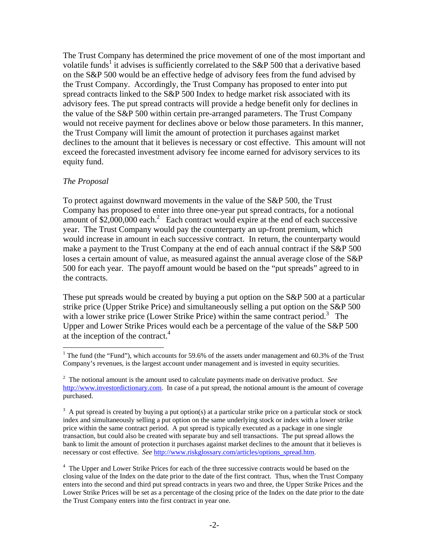The Trust Company has determined the price movement of one of the most important and volatile funds<sup>[1](#page-1-0)</sup> it advises is sufficiently correlated to the S&P 500 that a derivative based on the S&P 500 would be an effective hedge of advisory fees from the fund advised by the Trust Company. Accordingly, the Trust Company has proposed to enter into put spread contracts linked to the S&P 500 Index to hedge market risk associated with its advisory fees. The put spread contracts will provide a hedge benefit only for declines in the value of the S&P 500 within certain pre-arranged parameters. The Trust Company would not receive payment for declines above or below those parameters. In this manner, the Trust Company will limit the amount of protection it purchases against market declines to the amount that it believes is necessary or cost effective. This amount will not exceed the forecasted investment advisory fee income earned for advisory services to its equity fund.

### *The Proposal*

1

To protect against downward movements in the value of the S&P 500, the Trust Company has proposed to enter into three one-year put spread contracts, for a notional amount of  $$2,000,000$  $$2,000,000$  $$2,000,000$  each.<sup>2</sup> Each contract would expire at the end of each successive year. The Trust Company would pay the counterparty an up-front premium, which would increase in amount in each successive contract. In return, the counterparty would make a payment to the Trust Company at the end of each annual contract if the S&P 500 loses a certain amount of value, as measured against the annual average close of the S&P 500 for each year. The payoff amount would be based on the "put spreads" agreed to in the contracts.

These put spreads would be created by buying a put option on the S&P 500 at a particular strike price (Upper Strike Price) and simultaneously selling a put option on the S&P 500 with a lower strike price (Lower Strike Price) within the same contract period.<sup>[3](#page-1-2)</sup> The Upper and Lower Strike Prices would each be a percentage of the value of the S&P 500 at the inception of the contract.<sup>4</sup>

<span id="page-1-0"></span><sup>&</sup>lt;sup>1</sup> The fund (the "Fund"), which accounts for 59.6% of the assets under management and 60.3% of the Trust Company's revenues, is the largest account under management and is invested in equity securities.

<span id="page-1-1"></span><sup>2</sup> The notional amount is the amount used to calculate payments made on derivative product. *See* [http://www.investordictionary.com.](http://www.investordictionary.com/) In case of a put spread, the notional amount is the amount of coverage purchased.

<span id="page-1-2"></span> $3 \text{ A}$  put spread is created by buying a put option(s) at a particular strike price on a particular stock or stock index and simultaneously selling a put option on the same underlying stock or index with a lower strike price within the same contract period. A put spread is typically executed as a package in one single transaction, but could also be created with separate buy and sell transactions. The put spread allows the bank to limit the amount of protection it purchases against market declines to the amount that it believes is necessary or cost effective. *See* [http://www.riskglossary.com/articles/options\\_spread.htm.](http://www.riskglossary.com/articles/options_spread.htm)

<span id="page-1-3"></span><sup>&</sup>lt;sup>4</sup> The Upper and Lower Strike Prices for each of the three successive contracts would be based on the closing value of the Index on the date prior to the date of the first contract. Thus, when the Trust Company enters into the second and third put spread contracts in years two and three, the Upper Strike Prices and the Lower Strike Prices will be set as a percentage of the closing price of the Index on the date prior to the date the Trust Company enters into the first contract in year one.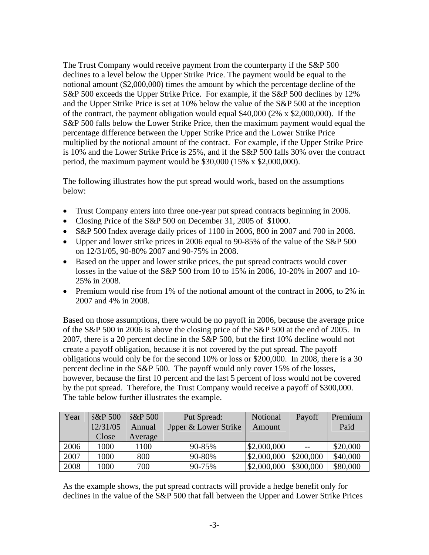The Trust Company would receive payment from the counterparty if the S&P 500 declines to a level below the Upper Strike Price. The payment would be equal to the notional amount (\$2,000,000) times the amount by which the percentage decline of the S&P 500 exceeds the Upper Strike Price. For example, if the S&P 500 declines by 12% and the Upper Strike Price is set at 10% below the value of the S&P 500 at the inception of the contract, the payment obligation would equal \$40,000 (2% x \$2,000,000). If the S&P 500 falls below the Lower Strike Price, then the maximum payment would equal the percentage difference between the Upper Strike Price and the Lower Strike Price multiplied by the notional amount of the contract. For example, if the Upper Strike Price is 10% and the Lower Strike Price is 25%, and if the S&P 500 falls 30% over the contract period, the maximum payment would be \$30,000 (15% x \$2,000,000).

The following illustrates how the put spread would work, based on the assumptions below:

- Trust Company enters into three one-year put spread contracts beginning in 2006.
- Closing Price of the S&P 500 on December 31, 2005 of \$1000.
- S&P 500 Index average daily prices of 1100 in 2006, 800 in 2007 and 700 in 2008.
- Upper and lower strike prices in 2006 equal to 90-85% of the value of the S&P 500 on 12/31/05, 90-80% 2007 and 90-75% in 2008.
- Based on the upper and lower strike prices, the put spread contracts would cover losses in the value of the S&P 500 from 10 to 15% in 2006, 10-20% in 2007 and 10- 25% in 2008.
- Premium would rise from 1% of the notional amount of the contract in 2006, to 2% in 2007 and 4% in 2008.

Based on those assumptions, there would be no payoff in 2006, because the average price of the S&P 500 in 2006 is above the closing price of the S&P 500 at the end of 2005. In 2007, there is a 20 percent decline in the S&P 500, but the first 10% decline would not create a payoff obligation, because it is not covered by the put spread. The payoff obligations would only be for the second 10% or loss or \$200,000. In 2008, there is a 30 percent decline in the S&P 500. The payoff would only cover 15% of the losses, however, because the first 10 percent and the last 5 percent of loss would not be covered by the put spread. Therefore, the Trust Company would receive a payoff of \$300,000. The table below further illustrates the example.

| Year | 5&P500   | 3&P500  | Put Spread:          | Notional    | Payoff    | Premium  |
|------|----------|---------|----------------------|-------------|-----------|----------|
|      | 12/31/05 | Annual  | Jpper & Lower Strike | Amount      |           | Paid     |
|      | Close    | Average |                      |             |           |          |
| 2006 | 1000     | 1100    | 90-85%               | \$2,000,000 | $- -$     | \$20,000 |
| 2007 | 1000     | 800     | 90-80%               | \$2,000,000 | \$200,000 | \$40,000 |
| 2008 | 1000     | 700     | 90-75%               | \$2,000,000 | \$300,000 | \$80,000 |

As the example shows, the put spread contracts will provide a hedge benefit only for declines in the value of the S&P 500 that fall between the Upper and Lower Strike Prices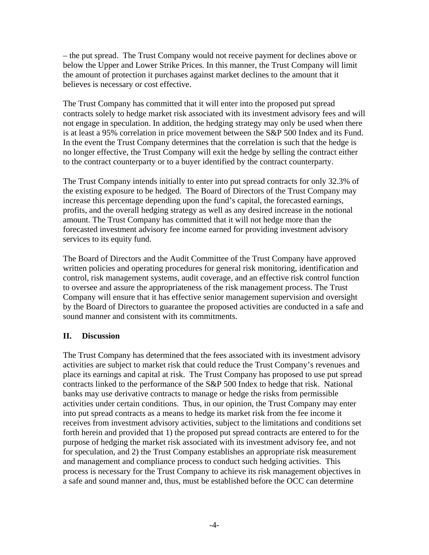– the put spread. The Trust Company would not receive payment for declines above or below the Upper and Lower Strike Prices. In this manner, the Trust Company will limit the amount of protection it purchases against market declines to the amount that it believes is necessary or cost effective.

The Trust Company has committed that it will enter into the proposed put spread contracts solely to hedge market risk associated with its investment advisory fees and will not engage in speculation. In addition, the hedging strategy may only be used when there is at least a 95% correlation in price movement between the S&P 500 Index and its Fund. In the event the Trust Company determines that the correlation is such that the hedge is no longer effective, the Trust Company will exit the hedge by selling the contract either to the contract counterparty or to a buyer identified by the contract counterparty.

The Trust Company intends initially to enter into put spread contracts for only 32.3% of the existing exposure to be hedged. The Board of Directors of the Trust Company may increase this percentage depending upon the fund's capital, the forecasted earnings, profits, and the overall hedging strategy as well as any desired increase in the notional amount. The Trust Company has committed that it will not hedge more than the forecasted investment advisory fee income earned for providing investment advisory services to its equity fund.

The Board of Directors and the Audit Committee of the Trust Company have approved written policies and operating procedures for general risk monitoring, identification and control, risk management systems, audit coverage, and an effective risk control function to oversee and assure the appropriateness of the risk management process. The Trust Company will ensure that it has effective senior management supervision and oversight by the Board of Directors to guarantee the proposed activities are conducted in a safe and sound manner and consistent with its commitments.

## **II. Discussion**

The Trust Company has determined that the fees associated with its investment advisory activities are subject to market risk that could reduce the Trust Company's revenues and place its earnings and capital at risk. The Trust Company has proposed to use put spread contracts linked to the performance of the S&P 500 Index to hedge that risk. National banks may use derivative contracts to manage or hedge the risks from permissible activities under certain conditions. Thus, in our opinion, the Trust Company may enter into put spread contracts as a means to hedge its market risk from the fee income it receives from investment advisory activities, subject to the limitations and conditions set forth herein and provided that 1) the proposed put spread contracts are entered to for the purpose of hedging the market risk associated with its investment advisory fee, and not for speculation, and 2) the Trust Company establishes an appropriate risk measurement and management and compliance process to conduct such hedging activities. This process is necessary for the Trust Company to achieve its risk management objectives in a safe and sound manner and, thus, must be established before the OCC can determine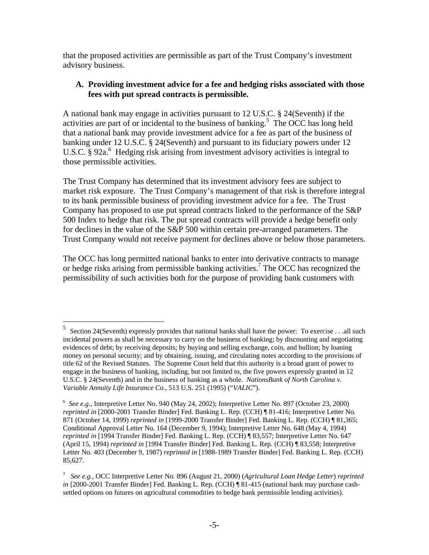that the proposed activities are permissible as part of the Trust Company's investment advisory business.

### **A. Providing investment advice for a fee and hedging risks associated with those fees with put spread contracts is permissible.**

A national bank may engage in activities pursuant to 12 U.S.C. § 24(Seventh) if the activities are part of or incidental to the business of banking.<sup>[5](#page-4-0)</sup> The OCC has long held that a national bank may provide investment advice for a fee as part of the business of banking under 12 U.S.C. § 24(Seventh) and pursuant to its fiduciary powers under 12 U.S.C. § 92a.<sup>[6](#page-4-1)</sup> Hedging risk arising from investment advisory activities is integral to those permissible activities.

The Trust Company has determined that its investment advisory fees are subject to market risk exposure. The Trust Company's management of that risk is therefore integral to its bank permissible business of providing investment advice for a fee. The Trust Company has proposed to use put spread contracts linked to the performance of the S&P 500 Index to hedge that risk. The put spread contracts will provide a hedge benefit only for declines in the value of the S&P 500 within certain pre-arranged parameters. The Trust Company would not receive payment for declines above or below those parameters.

The OCC has long permitted national banks to enter into derivative contracts to manage or hedge risks arising from permissible banking activities.<sup>[7](#page-4-2)</sup> The OCC has recognized the permissibility of such activities both for the purpose of providing bank customers with

<u>.</u>

<span id="page-4-0"></span><sup>5</sup> Section 24(Seventh) expressly provides that national banks shall have the power: To exercise . . .all such incidental powers as shall be necessary to carry on the business of banking; by discounting and negotiating evidences of debt; by receiving deposits; by buying and selling exchange, coin, and bullion; by loaning money on personal security; and by obtaining, issuing, and circulating notes according to the provisions of title 62 of the Revised Statutes. The Supreme Court held that this authority is a broad grant of power to engage in the business of banking, including, but not limited to, the five powers expressly granted in 12 U.S.C. § 24(Seventh) and in the business of banking as a whole. *NationsBank of North Carolina v. Variable Annuity Life Insurance Co.*, 513 U.S. 251 (1995) ("*VALIC*").

<span id="page-4-1"></span><sup>6</sup> *See e.g.*, Interpretive Letter No. 940 (May 24, 2002); Interpretive Letter No. 897 (October 23, 2000) *reprinted in* [2000-2001 Transfer Binder] Fed. Banking L. Rep. (CCH) ¶ 81-416; Interpretive Letter No. 871 (October 14, 1999) *reprinted in* [1999-2000 Transfer Binder] Fed. Banking L. Rep. (CCH) ¶ 81,365; Conditional Approval Letter No. 164 (December 9, 1994); Interpretive Letter No. 648 (May 4, 1994) *reprinted in* [1994 Transfer Binder] Fed. Banking L. Rep. (CCH) ¶ 83,557; Interpretive Letter No. 647 (April 15, 1994) *reprinted in* [1994 Transfer Binder] Fed. Banking L. Rep. (CCH) ¶ 83,558; Interpretive Letter No. 403 (December 9, 1987) *reprinted in* [1988-1989 Transfer Binder] Fed. Banking L. Rep. (CCH) 85,627.

<span id="page-4-2"></span><sup>7</sup> *See e.g.,* OCC Interpretive Letter No. 896 (August 21, 2000) (*Agricultural Loan Hedge Letter*) *reprinted in* [2000-2001 Transfer Binder] Fed. Banking L. Rep. (CCH) ¶ 81-415 (national bank may purchase cashsettled options on futures on agricultural commodities to hedge bank permissible lending activities).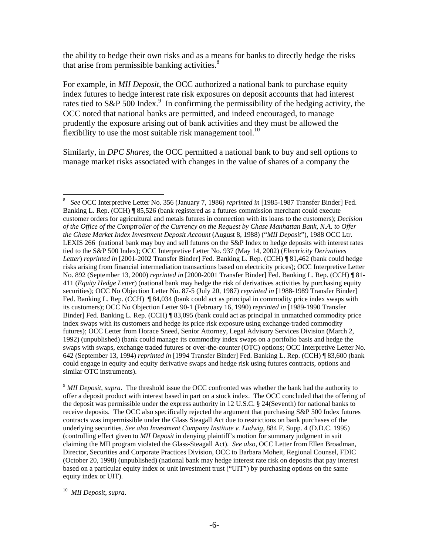the ability to hedge their own risks and as a means for banks to directly hedge the risks that arise from permissible banking activities.<sup>[8](#page-5-0)</sup>

For example, in *MII Deposit*, the OCC authorized a national bank to purchase equity index futures to hedge interest rate risk exposures on deposit accounts that had interest rates tied to S&P 500 Index.<sup>[9](#page-5-1)</sup> In confirming the permissibility of the hedging activity, the OCC noted that national banks are permitted, and indeed encouraged, to manage prudently the exposure arising out of bank activities and they must be allowed the flexibility to use the most suitable risk management tool.<sup>10</sup>

Similarly, in *DPC Shares,* the OCC permitted a national bank to buy and sell options to manage market risks associated with changes in the value of shares of a company the

<span id="page-5-0"></span> 8 *See* OCC Interpretive Letter No. 356 (January 7, 1986) *reprinted in* [1985-1987 Transfer Binder] Fed. Banking L. Rep. (CCH) ¶ 85,526 (bank registered as a futures commission merchant could execute customer orders for agricultural and metals futures in connection with its loans to the customers); *Decision of the Office of the Comptroller of the Currency on the Request by Chase Manhattan Bank, N.A. to Offer the Chase Market Index Investment Deposit Account* (August 8, 1988) ("*MII Deposit*"), 1988 OCC Ltr. LEXIS 266 (national bank may buy and sell futures on the S&P Index to hedge deposits with interest rates tied to the S&P 500 Index); OCC Interpretive Letter No. 937 (May 14, 2002) (*Electricity Derivatives Letter*) *reprinted in* [2001-2002 Transfer Binder] Fed. Banking L. Rep. (CCH) ¶ 81,462 (bank could hedge risks arising from financial intermediation transactions based on electricity prices); OCC Interpretive Letter No. 892 (September 13, 2000) *reprinted in* [2000-2001 Transfer Binder] Fed. Banking L. Rep. (CCH) ¶ 81- 411 (*Equity Hedge Letter*) (national bank may hedge the risk of derivatives activities by purchasing equity securities); OCC No Objection Letter No. 87-5 (July 20, 1987) *reprinted in* [1988-1989 Transfer Binder] Fed. Banking L. Rep. (CCH)  $\parallel$  84,034 (bank could act as principal in commodity price index swaps with its customers); OCC No Objection Letter 90-1 (February 16, 1990) *reprinted in* [1989-1990 Transfer Binder] Fed. Banking L. Rep. (CCH) ¶ 83,095 (bank could act as principal in unmatched commodity price index swaps with its customers and hedge its price risk exposure using exchange-traded commodity futures); OCC Letter from Horace Sneed, Senior Attorney, Legal Advisory Services Division (March 2, 1992) (unpublished) (bank could manage its commodity index swaps on a portfolio basis and hedge the swaps with swaps, exchange traded futures or over-the-counter (OTC) options; OCC Interpretive Letter No. 642 (September 13, 1994) *reprinted in* [1994 Transfer Binder] Fed. Banking L. Rep. (CCH) ¶ 83,600 (bank could engage in equity and equity derivative swaps and hedge risk using futures contracts, options and similar OTC instruments).

<span id="page-5-1"></span><sup>9</sup> *MII Deposit*, *supra*. The threshold issue the OCC confronted was whether the bank had the authority to offer a deposit product with interest based in part on a stock index. The OCC concluded that the offering of the deposit was permissible under the express authority in 12 U.S.C. § 24(Seventh) for national banks to receive deposits. The OCC also specifically rejected the argument that purchasing S&P 500 Index futures contracts was impermissible under the Glass Steagall Act due to restrictions on bank purchases of the underlying securities. *See also Investment Company Institute v. Ludwig*, 884 F. Supp. 4 (D.D.C. 1995) (controlling effect given to *MII Deposit* in denying plaintiff's motion for summary judgment in suit claiming the MII program violated the Glass-Steagall Act). *See also*, OCC Letter from Ellen Broadman, Director, Securities and Corporate Practices Division, OCC to Barbara Moheit, Regional Counsel, FDIC (October 20, 1998) (unpublished) (national bank may hedge interest rate risk on deposits that pay interest based on a particular equity index or unit investment trust ("UIT") by purchasing options on the same equity index or UIT).

<span id="page-5-2"></span><sup>10</sup> *MII Deposit*, *supra*.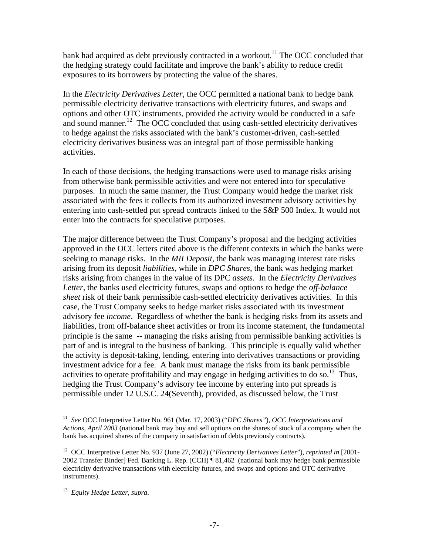bank had acquired as debt previously contracted in a workout.<sup>11</sup> The OCC concluded that the hedging strategy could facilitate and improve the bank's ability to reduce credit exposures to its borrowers by protecting the value of the shares.

In the *Electricity Derivatives Letter*, the OCC permitted a national bank to hedge bank permissible electricity derivative transactions with electricity futures, and swaps and options and other OTC instruments, provided the activity would be conducted in a safe and sound manner.<sup>12</sup> The OCC concluded that using cash-settled electricity derivatives to hedge against the risks associated with the bank's customer-driven, cash-settled electricity derivatives business was an integral part of those permissible banking activities.

In each of those decisions, the hedging transactions were used to manage risks arising from otherwise bank permissible activities and were not entered into for speculative purposes. In much the same manner, the Trust Company would hedge the market risk associated with the fees it collects from its authorized investment advisory activities by entering into cash-settled put spread contracts linked to the S&P 500 Index. It would not enter into the contracts for speculative purposes.

The major difference between the Trust Company's proposal and the hedging activities approved in the OCC letters cited above is the different contexts in which the banks were seeking to manage risks. In the *MII Deposit*, the bank was managing interest rate risks arising from its deposit *liabilities*, while in *DPC Shares*, the bank was hedging market risks arising from changes in the value of its DPC *assets*. In the *Electricity Derivatives Letter*, the banks used electricity futures, swaps and options to hedge the *off-balance sheet* risk of their bank permissible cash-settled electricity derivatives activities. In this case, the Trust Company seeks to hedge market risks associated with its investment advisory fee *income*. Regardless of whether the bank is hedging risks from its assets and liabilities, from off-balance sheet activities or from its income statement, the fundamental principle is the same -- managing the risks arising from permissible banking activities is part of and is integral to the business of banking. This principle is equally valid whether the activity is deposit-taking, lending, entering into derivatives transactions or providing investment advice for a fee. A bank must manage the risks from its bank permissible activities to operate profitability and may engage in hedging activities to do so.<sup>13</sup> Thus, hedging the Trust Company's advisory fee income by entering into put spreads is permissible under 12 U.S.C. 24(Seventh), provided, as discussed below, the Trust

 $\overline{a}$ 

<span id="page-6-0"></span><sup>11</sup> *See* OCC Interpretive Letter No. 961 (Mar. 17, 2003) ("*DPC Shares"*), *OCC Interpretations and Actions, April 2003* (national bank may buy and sell options on the shares of stock of a company when the bank has acquired shares of the company in satisfaction of debts previously contracts).

<span id="page-6-1"></span><sup>12</sup> OCC Interpretive Letter No. 937 (June 27, 2002) ("*Electricity Derivatives Letter*"), *reprinted in* [2001- 2002 Transfer Binder] Fed. Banking L. Rep. (CCH) ¶ 81,462 (national bank may hedge bank permissible electricity derivative transactions with electricity futures, and swaps and options and OTC derivative instruments).

<span id="page-6-2"></span><sup>13</sup> *Equity Hedge Letter, supra*.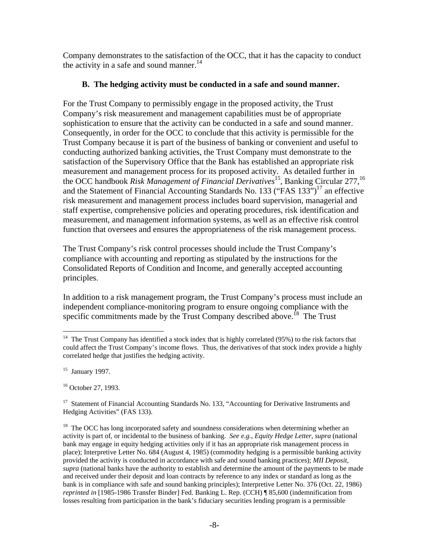Company demonstrates to the satisfaction of the OCC, that it has the capacity to conduct the activity in a safe and sound manner.<sup>[14](#page-7-0)</sup>

## **B. The hedging activity must be conducted in a safe and sound manner.**

For the Trust Company to permissibly engage in the proposed activity, the Trust Company's risk measurement and management capabilities must be of appropriate sophistication to ensure that the activity can be conducted in a safe and sound manner. Consequently, in order for the OCC to conclude that this activity is permissible for the Trust Company because it is part of the business of banking or convenient and useful to conducting authorized banking activities, the Trust Company must demonstrate to the satisfaction of the Supervisory Office that the Bank has established an appropriate risk measurement and management process for its proposed activity. As detailed further in the OCC handbook *Risk Management of Financial Derivatives*[15](#page-7-1)*,* Banking Circular 277[,16](#page-7-2) and the Statement of Financial Accounting Standards No. 133 ("FAS  $133$ ")<sup>17</sup> an effective risk measurement and management process includes board supervision, managerial and staff expertise, comprehensive policies and operating procedures, risk identification and measurement, and management information systems, as well as an effective risk control function that oversees and ensures the appropriateness of the risk management process.

The Trust Company's risk control processes should include the Trust Company's compliance with accounting and reporting as stipulated by the instructions for the Consolidated Reports of Condition and Income, and generally accepted accounting principles.

In addition to a risk management program, the Trust Company's process must include an independent compliance-monitoring program to ensure ongoing compliance with the specific commitments made by the Trust Company described above.<sup>18</sup> The Trust

<span id="page-7-0"></span><sup>1</sup> <sup>14</sup> The Trust Company has identified a stock index that is highly correlated (95%) to the risk factors that could affect the Trust Company's income flows. Thus, the derivatives of that stock index provide a highly correlated hedge that justifies the hedging activity.

<span id="page-7-1"></span> $15$  January 1997.

<span id="page-7-2"></span><sup>16</sup> October 27, 1993.

<span id="page-7-3"></span><sup>&</sup>lt;sup>17</sup> Statement of Financial Accounting Standards No. 133, "Accounting for Derivative Instruments and Hedging Activities" (FAS 133).

<span id="page-7-4"></span><sup>&</sup>lt;sup>18</sup> The OCC has long incorporated safety and soundness considerations when determining whether an activity is part of, or incidental to the business of banking. *See e.g.*, *Equity Hedge Letter*, *supra* (national bank may engage in equity hedging activities only if it has an appropriate risk management process in place); Interpretive Letter No. 684 (August 4, 1985) (commodity hedging is a permissible banking activity provided the activity is conducted in accordance with safe and sound banking practices); *MII Deposit, supra* (national banks have the authority to establish and determine the amount of the payments to be made and received under their deposit and loan contracts by reference to any index or standard as long as the bank is in compliance with safe and sound banking principles); Interpretive Letter No. 376 (Oct. 22, 1986) *reprinted in* [1985-1986 Transfer Binder] Fed. Banking L. Rep. (CCH) ¶ 85,600 (indemnification from losses resulting from participation in the bank's fiduciary securities lending program is a permissible